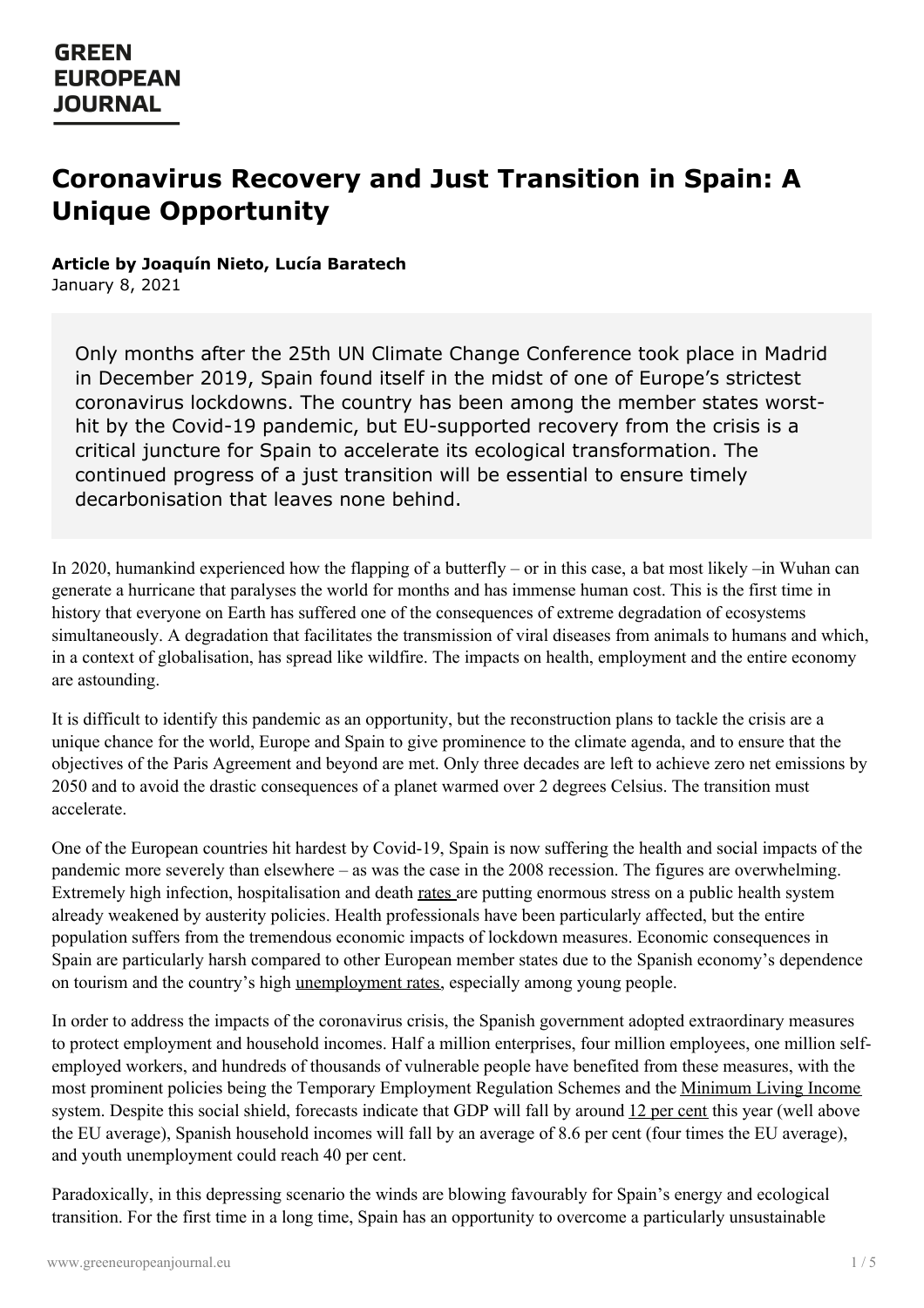# **Coronavirus Recovery and Just Transition in Spain: A Unique Opportunity**

**Article by Joaquín Nieto, Lucía Baratech**

January 8, 2021

Only months after the 25th UN Climate Change Conference took place in Madrid in December 2019, Spain found itself in the midst of one of Europe's strictest coronavirus lockdowns. The country has been among the member states worsthit by the Covid-19 pandemic, but EU-supported recovery from the crisis is a critical juncture for Spain to accelerate its ecological transformation. The continued progress of a just transition will be essential to ensure timely decarbonisation that leaves none behind.

In 2020, humankind experienced how the flapping of a butterfly – or in this case, a bat most likely –in Wuhan can generate a hurricane that paralyses the world for months and has immense human cost. This is the first time in history that everyone on Earth has suffered one of the consequences of extreme degradation of ecosystems simultaneously. A degradation that facilitates the transmission of viral diseases from animals to humans and which, in a context of globalisation, has spread like wildfire. The impacts on health, employment and the entire economy are astounding.

It is difficult to identify this pandemic as an opportunity, but the reconstruction plans to tackle the crisis are a unique chance for the world, Europe and Spain to give prominence to the climate agenda, and to ensure that the objectives of the Paris Agreement and beyond are met. Only three decades are left to achieve zero net emissions by 2050 and to avoid the drastic consequences of a planet warmed over 2 degrees Celsius. The transition must accelerate.

One of the European countries hit hardest by Covid-19, Spain is now suffering the health and social impacts of the pandemic more severely than elsewhere – as was the case in the 2008 recession. The figures are overwhelming. Extremely high infection, hospitalisation and death [rates](https://www.eldiario.es/sociedad/mapa-evolucion-coronavirus-expansion-espana-noviembre-20_1_1031363.html) are putting enormous stress on a public health system already weakened by austerity policies. Health professionals have been particularly affected, but the entire population suffers from the tremendous economic impacts of lockdown measures. Economic consequences in Spain are particularly harsh compared to other European member states due to the Spanish economy's dependence on tourism and the country's high [unemployment](https://www.economist.com/europe/2019/08/22/employment-in-southern-europe-better-but-fragile) rates, especially among young people.

In order to address the impacts of the coronavirus crisis, the Spanish government adopted extraordinary measures to protect employment and household incomes. Half a million enterprises, four million employees, one million selfemployed workers, and hundreds of thousands of vulnerable people have benefited from these measures, with the most [prominent](https://www.greeneuropeanjournal.eu) policies being the Temporary Employment Regulation Schemes and the [Minimum](http://www.seg-social.es/wps/portal/wss/internet/Trabajadores/PrestacionesPensionesTrabajadores/65850d68-8d06-4645-bde7-05374ee42ac7) Living Income system. Despite this social shield, forecasts indicate that GDP will fall by around 12 per [cent](https://www.lavanguardia.com/economia/20201014/484055637082/fmi-situa-espana-peor-gran-economia-avanzada-2020.html) this year (well above the EU average), Spanish household incomes will fall by an average of 8.6 per cent (four times the EU average), and youth unemployment could reach 40 per cent.

Paradoxically, in this depressing scenario the winds are blowing favourably for Spain's energy and ecological transition. For the first time in a long time, Spain has an opportunity to overcome a particularly unsustainable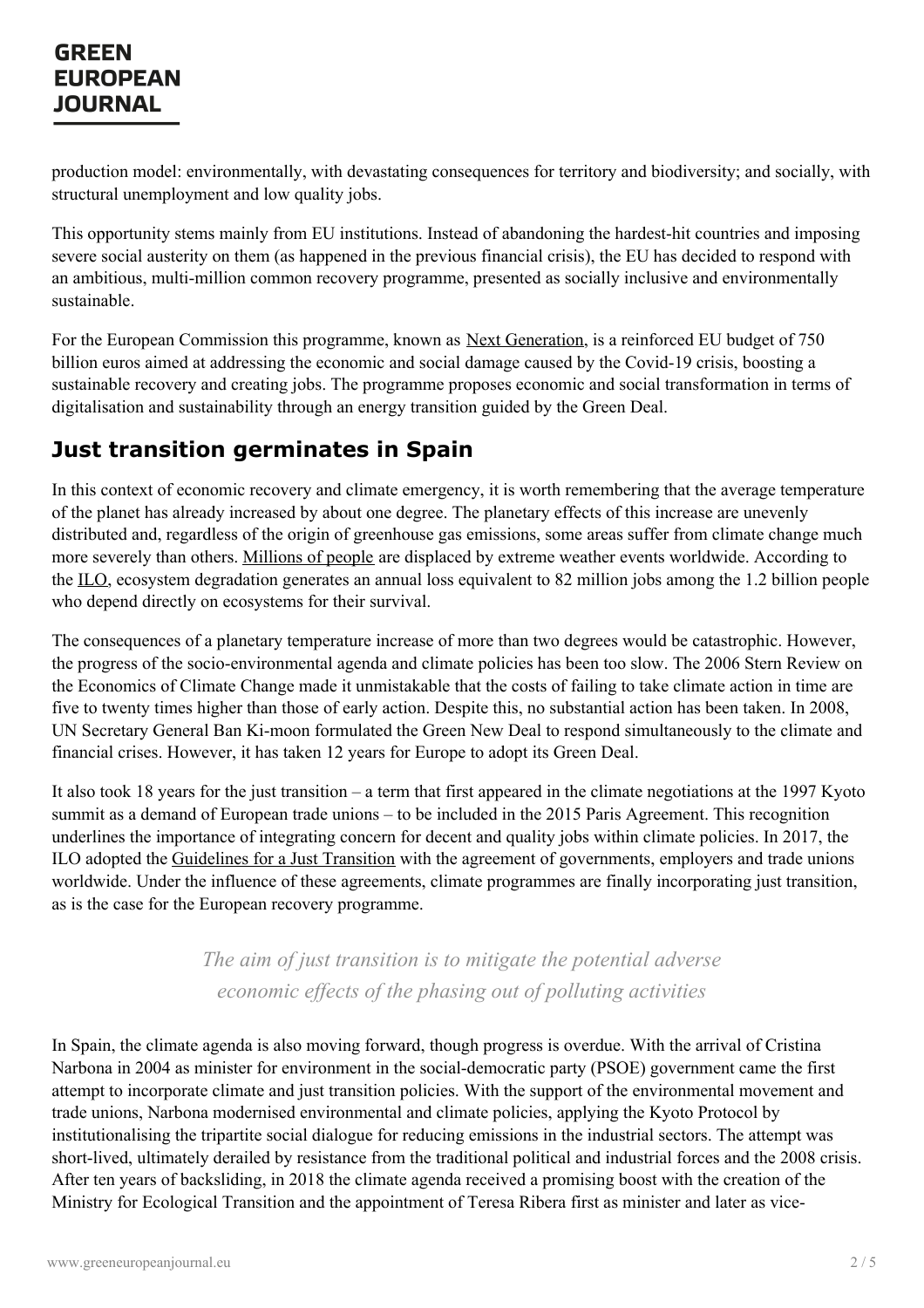### **GREEN EUROPEAN JOURNAL**

production model: environmentally, with devastating consequences for territory and biodiversity; and socially, with structural unemployment and low quality jobs.

This opportunity stems mainly from EU institutions. Instead of abandoning the hardest-hit countries and imposing severe social austerity on them (as happened in the previous financial crisis), the EU has decided to respond with an ambitious, multi-million common recovery programme, presented as socially inclusive and environmentally sustainable.

For the European Commission this programme, known as Next [Generation](https://ec.europa.eu/commission/presscorner/detail/en/qanda_20_1024), is a reinforced EU budget of 750 billion euros aimed at addressing the economic and social damage caused by the Covid-19 crisis, boosting a sustainable recovery and creating jobs. The programme proposes economic and social transformation in terms of digitalisation and sustainability through an energy transition guided by the Green Deal.

## **Just transition germinates in Spain**

In this context of economic recovery and climate emergency, it is worth remembering that the average temperature of the planet has already increased by about one degree. The planetary effects of this increase are unevenly distributed and, regardless of the origin of greenhouse gas emissions, some areas suffer from climate change much more severely than others. [Millions](https://migracionesclimaticas.org/documento/refugiados-climaticos/) of people are displaced by extreme weather events worldwide. According to the [ILO](https://www.ilo.org/global/publications/books/WCMS_638150/lang--es/index.htm), ecosystem degradation generates an annual loss equivalent to 82 million jobs among the 1.2 billion people who depend directly on ecosystems for their survival.

The consequences of a planetary temperature increase of more than two degrees would be catastrophic. However, the progress of the socio-environmental agenda and climate policies has been too slow. The 2006 Stern Review on the Economics of Climate Change made it unmistakable that the costs of failing to take climate action in time are five to twenty times higher than those of early action. Despite this, no substantial action has been taken. In 2008, UN Secretary General Ban Ki-moon formulated the Green New Deal to respond simultaneously to the climate and financial crises. However, it has taken 12 years for Europe to adopt its Green Deal.

It also took 18 years for the just transition – a term that first appeared in the climate negotiations at the 1997 Kyoto summit as a demand of European trade unions – to be included in the 2015 Paris Agreement. This recognition underlines the importance of integrating concern for decent and quality jobs within climate policies. In 2017, the ILO adopted the [Guidelines](https://www.ilo.org/global/topics/green-jobs/publications/WCMS_432865/lang--es/index.htm) for a Just Transition with the agreement of governments, employers and trade unions worldwide. Under the influence of these agreements, climate programmes are finally incorporating just transition, as is the case for the European recovery programme.

> *The aim of just transition is to mitigate the potential adverse economic ef ects of the phasing out of polluting activities*

In Spain, the climate agenda is also moving forward, though progress is overdue. With the arrival of Cristina Narbona in 2004 as minister for environment in the social-democratic party (PSOE) government came the first attempt to [incorporate](https://www.greeneuropeanjournal.eu) climate and just transition policies. With the support of the environmental movement and trade unions, Narbona modernised environmental and climate policies, applying the Kyoto Protocol by institutionalising the tripartite social dialogue for reducing emissions in the industrial sectors. The attempt was short-lived, ultimately derailed by resistance from the traditional political and industrial forces and the 2008 crisis. After ten years of backsliding, in 2018 the climate agenda received a promising boost with the creation of the Ministry for Ecological Transition and the appointment of Teresa Ribera first as minister and later as vice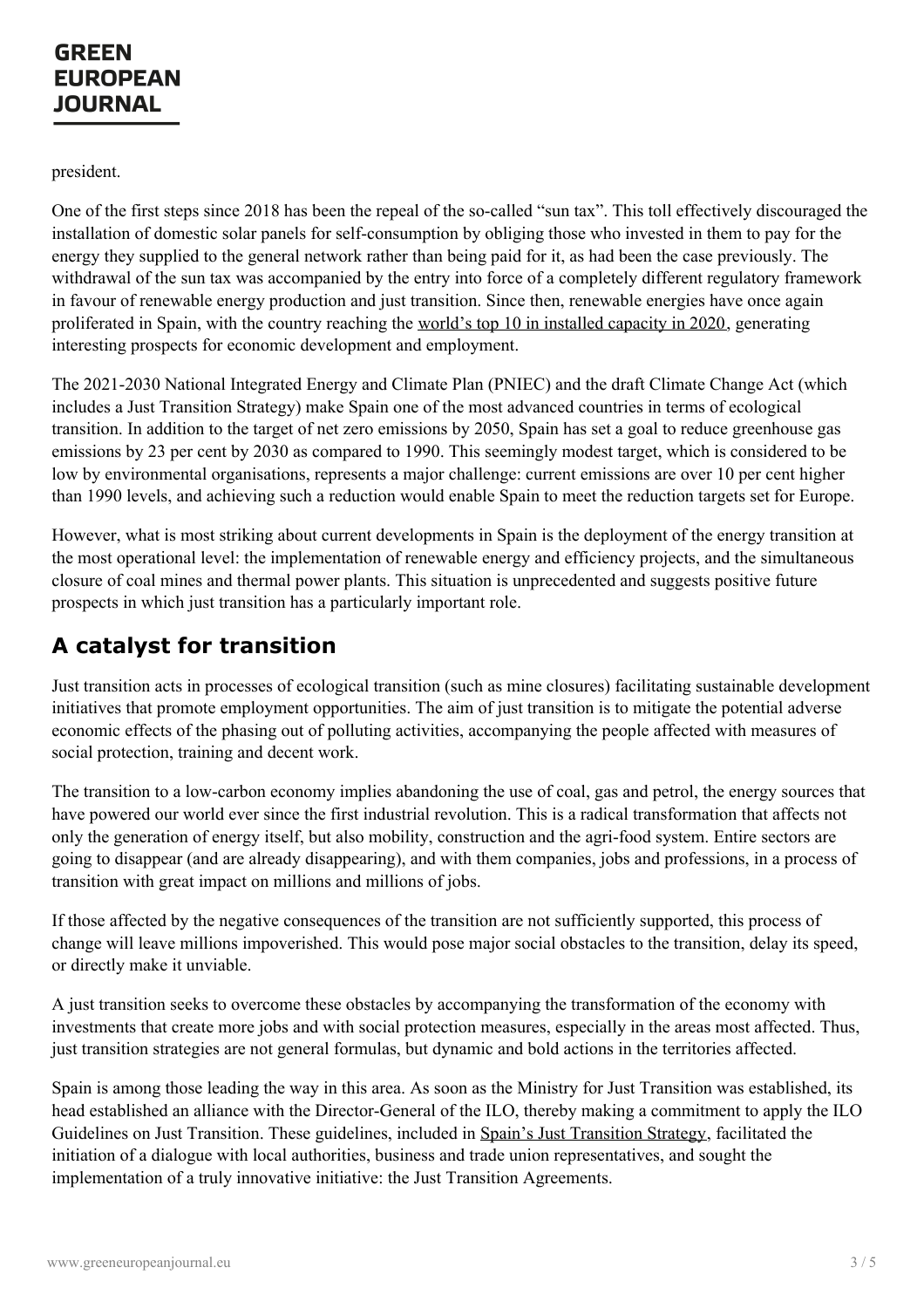president.

One of the first steps since 2018 has been the repeal of the so-called "sun tax". This toll effectively discouraged the installation of domestic solar panels for self-consumption by obliging those who invested in them to pay for the energy they supplied to the general network rather than being paid for it, as had been the case previously. The withdrawal of the sun tax was accompanied by the entry into force of a completely different regulatory framework in favour of renewable energy production and just transition. Since then, renewable energies have once again proliferated in Spain, with the country reaching the world's top 10 in [installed](https://elperiodicodelaenergia.com/espana-entra-en-el-top-10-mundial-de-capacidad-renovable-con-un-total-de-54-592-mw/) capacity in 2020, generating interesting prospects for economic development and employment.

The 2021-2030 National Integrated Energy and Climate Plan (PNIEC) and the draft Climate Change Act (which includes a Just Transition Strategy) make Spain one of the most advanced countries in terms of ecological transition. In addition to the target of net zero emissions by 2050, Spain has set a goal to reduce greenhouse gas emissions by 23 per cent by 2030 as compared to 1990. This seemingly modest target, which is considered to be low by environmental organisations, represents a major challenge: current emissions are over 10 per cent higher than 1990 levels, and achieving such a reduction would enable Spain to meet the reduction targets set for Europe.

However, what is most striking about current developments in Spain is the deployment of the energy transition at the most operational level: the implementation of renewable energy and efficiency projects, and the simultaneous closure of coal mines and thermal power plants. This situation is unprecedented and suggests positive future prospects in which just transition has a particularly important role.

# **A catalyst for transition**

Just transition acts in processes of ecological transition (such as mine closures) facilitating sustainable development initiatives that promote employment opportunities. The aim of just transition is to mitigate the potential adverse economic effects of the phasing out of polluting activities, accompanying the people affected with measures of social protection, training and decent work.

The transition to a low-carbon economy implies abandoning the use of coal, gas and petrol, the energy sources that have powered our world ever since the first industrial revolution. This is a radical transformation that affects not only the generation of energy itself, but also mobility, construction and the agri-food system. Entire sectors are going to disappear (and are already disappearing), and with them companies, jobs and professions, in a process of transition with great impact on millions and millions of jobs.

If those affected by the negative consequences of the transition are not sufficiently supported, this process of change will leave millions impoverished. This would pose major social obstacles to the transition, delay its speed, or directly make it unviable.

A just transition seeks to overcome these obstacles by accompanying the transformation of the economy with investments that create more jobs and with social protection measures, especially in the areas most affected. Thus, just transition strategies are not general formulas, but dynamic and bold actions in the territories affected.

Spain is among those leading the way in this area. As soon as the Ministry for Just Transition was established, its head [established](https://www.greeneuropeanjournal.eu) an alliance with the Director-General of the ILO, thereby making a commitment to apply the ILO Guidelines on Just Transition. These guidelines, included in Spain's Just [Transition](https://www.miteco.gob.es/en/prensa/etj-english-interactive_tcm38-505653.pdf) Strategy, facilitated the initiation of a dialogue with local authorities, business and trade union representatives, and sought the implementation of a truly innovative initiative: the Just Transition Agreements.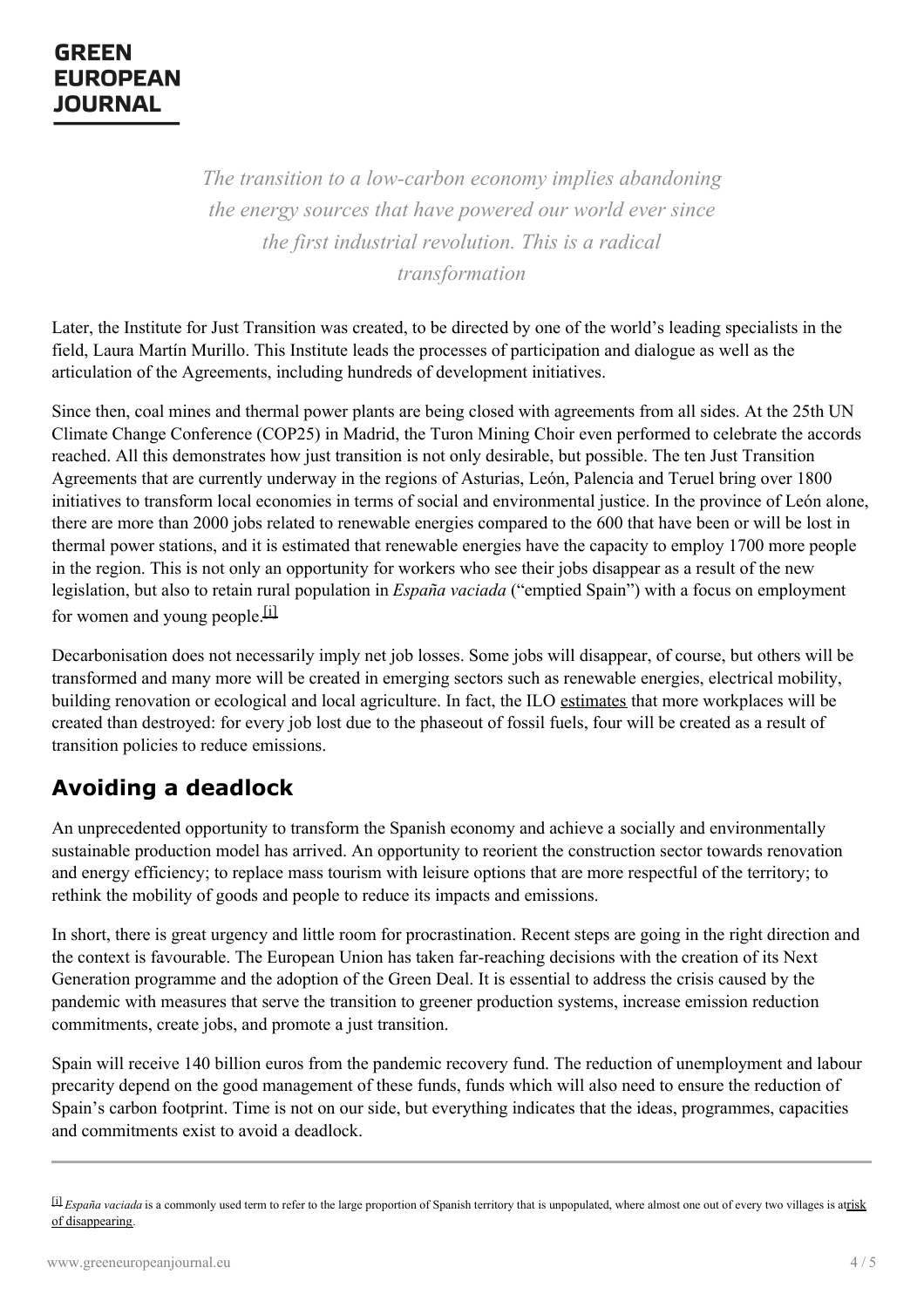*The transition to a low-carbon economy implies abandoning the energy sources that have powered our world ever since the first industrial revolution. This is a radical transformation*

Later, the Institute for Just Transition was created, to be directed by one of the world's leading specialists in the field, Laura Martín Murillo. This Institute leads the processes of participation and dialogue as well as the articulation of the Agreements, including hundreds of development initiatives.

Since then, coal mines and thermal power plants are being closed with agreements from all sides. At the 25th UN Climate Change Conference (COP25) in Madrid, the Turon Mining Choir even performed to celebrate the accords reached. All this demonstrates how just transition is not only desirable, but possible. The ten Just Transition Agreements that are currently underway in the regions of Asturias, León, Palencia and Teruel bring over 1800 initiatives to transform local economies in terms of social and environmental justice. In the province of León alone, there are more than 2000 jobs related to renewable energies compared to the 600 that have been or will be lost in thermal power stations, and it is estimated that renewable energies have the capacity to employ 1700 more people in the region. This is not only an opportunity for workers who see their jobs disappear as a result of the new legislation, but also to retain rural population in *España vaciada* ("emptied Spain") with a focus on employment for women and young people. [i]

Decarbonisation does not necessarily imply net job losses. Some jobs will disappear, of course, but others will be transformed and many more will be created in emerging sectors such as renewable energies, electrical mobility, building renovation or ecological and local agriculture. In fact, the ILO [estimates](https://www.ilo.org/global/research/global-reports/weso/greening-with-jobs/lang--es/index.htm) that more workplaces will be created than destroyed: for every job lost due to the phaseout of fossil fuels, four will be created as a result of transition policies to reduce emissions.

## **Avoiding a deadlock**

An unprecedented opportunity to transform the Spanish economy and achieve a socially and environmentally sustainable production model has arrived. An opportunity to reorient the construction sector towards renovation and energy efficiency; to replace mass tourism with leisure options that are more respectful of the territory; to rethink the mobility of goods and people to reduce its impacts and emissions.

In short, there is great urgency and little room for procrastination. Recent steps are going in the right direction and the context is favourable. The European Union has taken far-reaching decisions with the creation of its Next Generation programme and the adoption of the Green Deal. It is essential to address the crisis caused by the pandemic with measures that serve the transition to greener production systems, increase emission reduction commitments, create jobs, and promote a just transition.

Spain will receive 140 billion euros from the pandemic recovery fund. The reduction of unemployment and labour precarity depend on the good management of these funds, funds which will also need to ensure the reduction of Spain's carbon [footprint.](https://www.greeneuropeanjournal.eu) Time is not on our side, but everything indicates that the ideas, programmes, capacities and commitments exist to avoid a deadlock.

[<sup>\[</sup>i\]](https://www.greeneuropeanjournal.eu/wp-admin/post.php?post=19642&action=edit#_ednref1) *España vaciada* is a commonly used term to refer to the large proportion of Spanish territory that is unpopulated, where almost one out of every two villages is atrisk of [disappearing](https://www.publico.es/sociedad/espana-vaciada-agonia-demografica-3500-pueblos-borde-desaparicion.html).